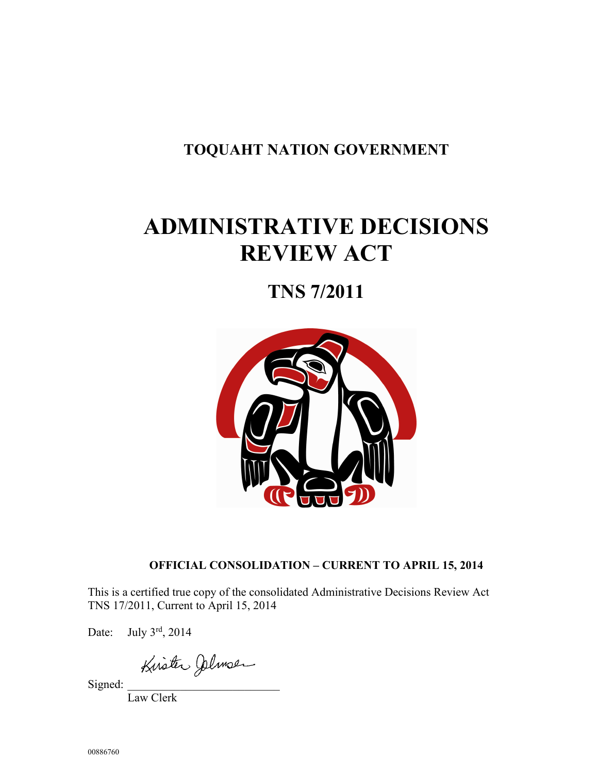## **TOQUAHT NATION GOVERNMENT**

# **ADMINISTRATIVE DECISIONS REVIEW ACT**

## **TNS 7/2011**



## **OFFICIAL CONSOLIDATION – CURRENT TO APRIL 15, 2014**

This is a certified true copy of the consolidated Administrative Decisions Review Act TNS 17/2011, Current to April 15, 2014

Date: July 3rd, 2014

Signed:

Law Clerk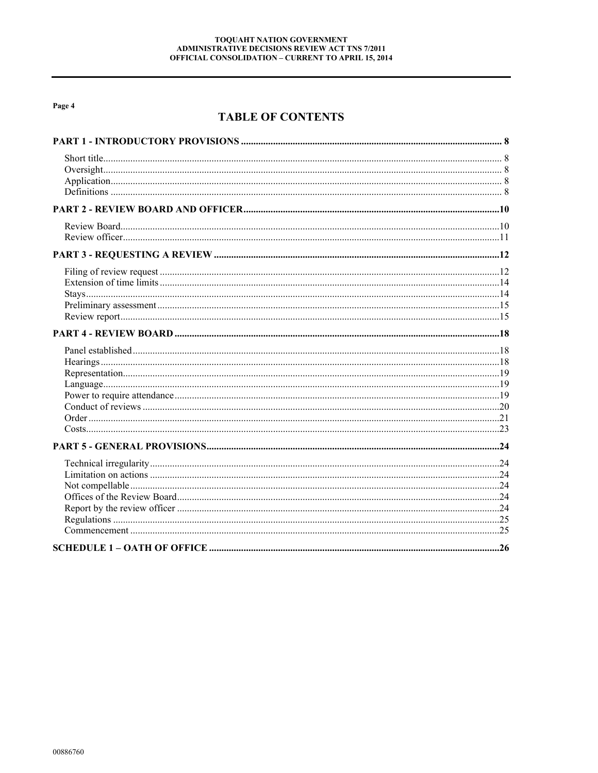## **TABLE OF CONTENTS**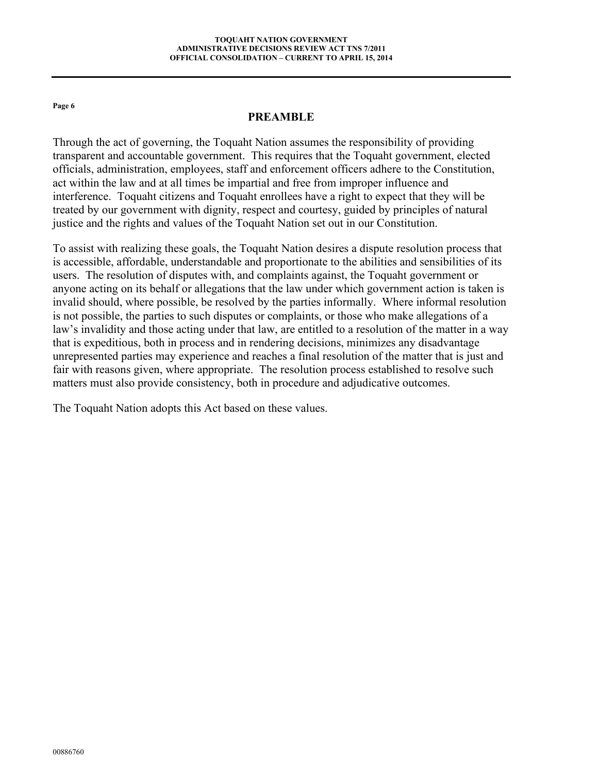#### **PREAMBLE**

Through the act of governing, the Toquaht Nation assumes the responsibility of providing transparent and accountable government. This requires that the Toquaht government, elected officials, administration, employees, staff and enforcement officers adhere to the Constitution, act within the law and at all times be impartial and free from improper influence and interference. Toquaht citizens and Toquaht enrollees have a right to expect that they will be treated by our government with dignity, respect and courtesy, guided by principles of natural justice and the rights and values of the Toquaht Nation set out in our Constitution.

To assist with realizing these goals, the Toquaht Nation desires a dispute resolution process that is accessible, affordable, understandable and proportionate to the abilities and sensibilities of its users. The resolution of disputes with, and complaints against, the Toquaht government or anyone acting on its behalf or allegations that the law under which government action is taken is invalid should, where possible, be resolved by the parties informally. Where informal resolution is not possible, the parties to such disputes or complaints, or those who make allegations of a law's invalidity and those acting under that law, are entitled to a resolution of the matter in a way that is expeditious, both in process and in rendering decisions, minimizes any disadvantage unrepresented parties may experience and reaches a final resolution of the matter that is just and fair with reasons given, where appropriate. The resolution process established to resolve such matters must also provide consistency, both in procedure and adjudicative outcomes.

The Toquaht Nation adopts this Act based on these values.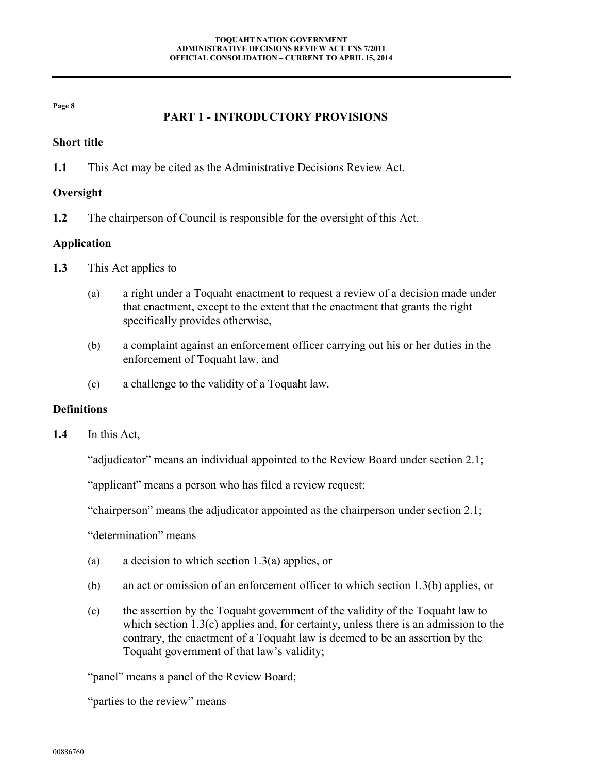## **PART 1 - INTRODUCTORY PROVISIONS**

#### <span id="page-7-1"></span><span id="page-7-0"></span>**Short title**

**1.1** This Act may be cited as the Administrative Decisions Review Act.

#### <span id="page-7-2"></span>**Oversight**

**1.2** The chairperson of Council is responsible for the oversight of this Act.

#### <span id="page-7-3"></span>**Application**

- <span id="page-7-5"></span>**1.3** This Act applies to
	- (a) a right under a Toquaht enactment to request a review of a decision made under that enactment, except to the extent that the enactment that grants the right specifically provides otherwise,
	- (b) a complaint against an enforcement officer carrying out his or her duties in the enforcement of Toquaht law, and
	- (c) a challenge to the validity of a Toquaht law.

#### <span id="page-7-7"></span><span id="page-7-6"></span><span id="page-7-4"></span>**Definitions**

**1.4** In this Act,

"adjudicator" means an individual appointed to the Review Board under section [2.1;](#page-9-2)

"applicant" means a person who has filed a review request;

"chairperson" means the adjudicator appointed as the chairperson under section [2.1;](#page-9-2)

"determination" means

- (a) a decision to which section [1.3\(a\)](#page-7-5) applies, or
- (b) an act or omission of an enforcement officer to which section [1.3\(b\)](#page-7-6) applies, or
- (c) the assertion by the Toquaht government of the validity of the Toquaht law to which section  $1.3(c)$  applies and, for certainty, unless there is an admission to the contrary, the enactment of a Toquaht law is deemed to be an assertion by the Toquaht government of that law's validity;

"panel" means a panel of the Review Board;

"parties to the review" means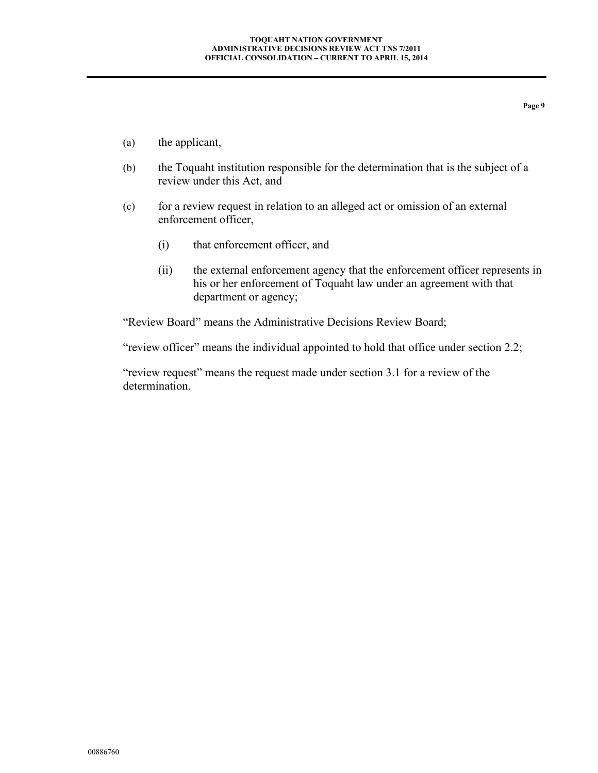- (a) the applicant,
- (b) the Toquaht institution responsible for the determination that is the subject of a review under this Act, and
- (c) for a review request in relation to an alleged act or omission of an external enforcement officer,
	- (i) that enforcement officer, and
	- (ii) the external enforcement agency that the enforcement officer represents in his or her enforcement of Toquaht law under an agreement with that department or agency;

"Review Board" means the Administrative Decisions Review Board;

"review officer" means the individual appointed to hold that office under section [2.2;](#page-10-1)

"review request" means the request made under section 3.1 for a review of the determination.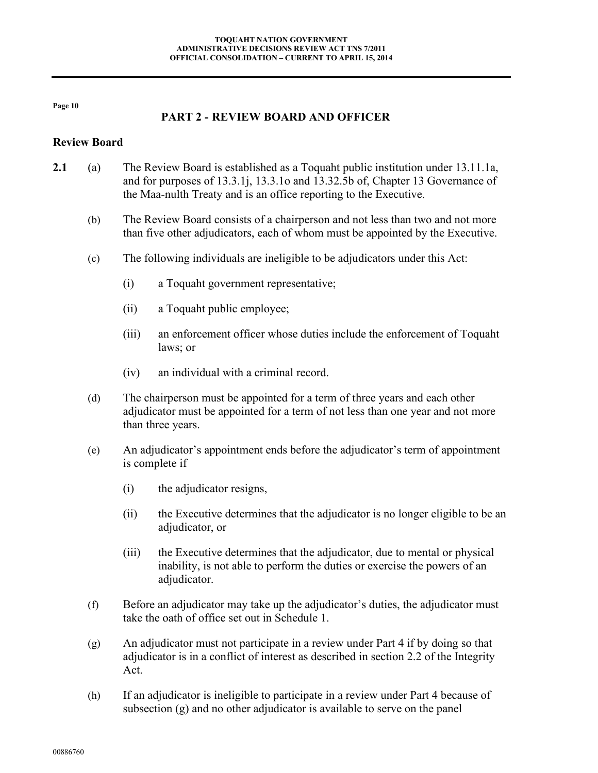## **PART 2 - REVIEW BOARD AND OFFICER**

#### <span id="page-9-1"></span><span id="page-9-0"></span>**Review Board**

- <span id="page-9-4"></span><span id="page-9-3"></span><span id="page-9-2"></span>**2.1** (a) The Review Board is established as a Toquaht public institution under 13.11.1a, and for purposes of 13.3.1j, 13.3.1o and 13.32.5b of, Chapter 13 Governance of the Maa-nulth Treaty and is an office reporting to the Executive.
	- (b) The Review Board consists of a chairperson and not less than two and not more than five other adjudicators, each of whom must be appointed by the Executive.
	- (c) The following individuals are ineligible to be adjudicators under this Act:
		- (i) a Toquaht government representative;
		- (ii) a Toquaht public employee;
		- (iii) an enforcement officer whose duties include the enforcement of Toquaht laws; or
		- (iv) an individual with a criminal record.
	- (d) The chairperson must be appointed for a term of three years and each other adjudicator must be appointed for a term of not less than one year and not more than three years.
	- (e) An adjudicator's appointment ends before the adjudicator's term of appointment is complete if
		- (i) the adjudicator resigns,
		- (ii) the Executive determines that the adjudicator is no longer eligible to be an adjudicator, or
		- (iii) the Executive determines that the adjudicator, due to mental or physical inability, is not able to perform the duties or exercise the powers of an adjudicator.
	- (f) Before an adjudicator may take up the adjudicator's duties, the adjudicator must take the oath of office set out in Schedule 1.
	- (g) An adjudicator must not participate in a review under Part 4 if by doing so that adjudicator is in a conflict of interest as described in section 2.2 of the Integrity Act.
	- (h) If an adjudicator is ineligible to participate in a review under Part 4 because of subsection [\(g\)](#page-9-3) and no other adjudicator is available to serve on the panel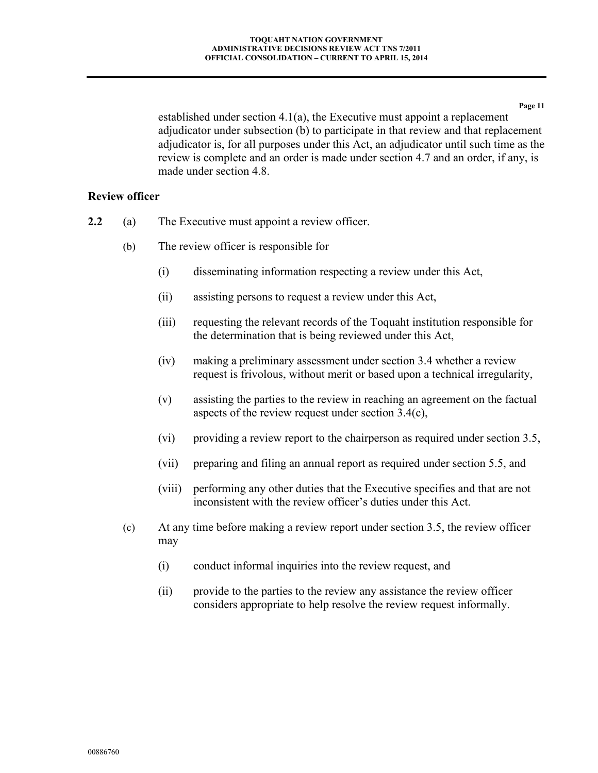established under section [4.1\(a\),](#page-17-3) the Executive must appoint a replacement adjudicator under subsection [\(b\)](#page-9-4) to participate in that review and that replacement adjudicator is, for all purposes under this Act, an adjudicator until such time as the review is complete and an order is made under section [4.7](#page-20-1) and an order, if any, is made under section [4.8.](#page-22-1)

#### <span id="page-10-0"></span>**Review officer**

- <span id="page-10-2"></span><span id="page-10-1"></span>**2.2** (a) The Executive must appoint a review officer.
	- (b) The review officer is responsible for
		- (i) disseminating information respecting a review under this Act,
		- (ii) assisting persons to request a review under this Act,
		- (iii) requesting the relevant records of the Toquaht institution responsible for the determination that is being reviewed under this Act,
		- (iv) making a preliminary assessment under section [3.4](#page-14-2) whether a review request is frivolous, without merit or based upon a technical irregularity,
		- (v) assisting the parties to the review in reaching an agreement on the factual aspects of the review request under section [3.4\(c\),](#page-14-3)
		- (vi) providing a review report to the chairperson as required under section [3.5,](#page-14-4)
		- (vii) preparing and filing an annual report as required under section [5.5,](#page-23-6) and
		- (viii) performing any other duties that the Executive specifies and that are not inconsistent with the review officer's duties under this Act.
	- (c) At any time before making a review report under section [3.5,](#page-14-4) the review officer may
		- (i) conduct informal inquiries into the review request, and
		- (ii) provide to the parties to the review any assistance the review officer considers appropriate to help resolve the review request informally.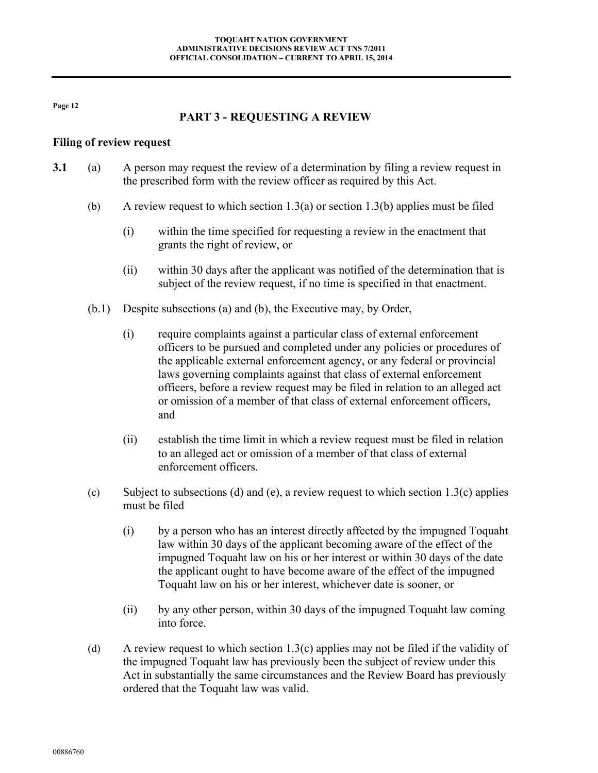## **PART 3 - REQUESTING A REVIEW**

#### <span id="page-11-1"></span><span id="page-11-0"></span>**Filing of review request**

- <span id="page-11-5"></span><span id="page-11-4"></span><span id="page-11-3"></span><span id="page-11-2"></span>**3.1** (a) A person may request the review of a determination by filing a review request in the prescribed form with the review officer as required by this Act.
	- (b) A review request to which section [1.3\(a\)](#page-7-5) or section [1.3\(b\)](#page-7-6) applies must be filed
		- (i) within the time specified for requesting a review in the enactment that grants the right of review, or
		- (ii) within 30 days after the applicant was notified of the determination that is subject of the review request, if no time is specified in that enactment.
	- (b.1) Despite subsections (a) and (b), the Executive may, by Order,
		- (i) require complaints against a particular class of external enforcement officers to be pursued and completed under any policies or procedures of the applicable external enforcement agency, or any federal or provincial laws governing complaints against that class of external enforcement officers, before a review request may be filed in relation to an alleged act or omission of a member of that class of external enforcement officers, and
		- (ii) establish the time limit in which a review request must be filed in relation to an alleged act or omission of a member of that class of external enforcement officers.
	- (c) Subject to subsections [\(d\)](#page-11-2) and [\(e\),](#page-12-0) a review request to which section  $1.3(c)$  applies must be filed
		- (i) by a person who has an interest directly affected by the impugned Toquaht law within 30 days of the applicant becoming aware of the effect of the impugned Toquaht law on his or her interest or within 30 days of the date the applicant ought to have become aware of the effect of the impugned Toquaht law on his or her interest, whichever date is sooner, or
		- (ii) by any other person, within 30 days of the impugned Toquaht law coming into force.
	- (d) A review request to which section  $1.3(c)$  applies may not be filed if the validity of the impugned Toquaht law has previously been the subject of review under this Act in substantially the same circumstances and the Review Board has previously ordered that the Toquaht law was valid.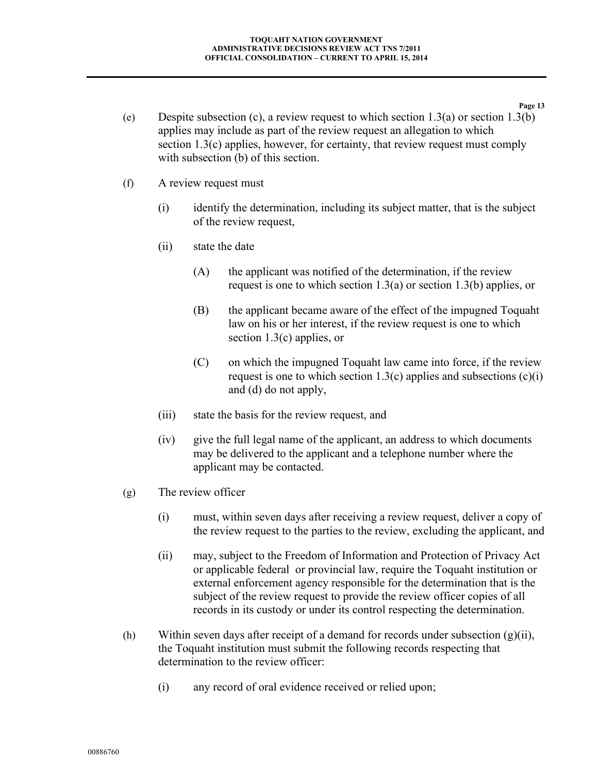- <span id="page-12-0"></span>**Page 13** (e) Despite subsection [\(c\),](#page-11-3) a review request to which section  $1.3(a)$  or section  $1.3(b)$ applies may include as part of the review request an allegation to which section [1.3\(c\)](#page-7-7) applies, however, for certainty, that review request must comply with subsection [\(b\)](#page-11-4) of this section.
- (f) A review request must
	- (i) identify the determination, including its subject matter, that is the subject of the review request,
	- (ii) state the date
		- (A) the applicant was notified of the determination, if the review request is one to which section [1.3\(a\)](#page-7-5) or section [1.3\(b\)](#page-7-6) applies, or
		- (B) the applicant became aware of the effect of the impugned Toquaht law on his or her interest, if the review request is one to which section [1.3\(c\)](#page-7-7) applies, or
		- (C) on which the impugned Toquaht law came into force, if the review request is one to which section [1.3\(c\)](#page-7-7) applies and subsections  $(c)(i)$ and [\(d\)](#page-11-2) do not apply,
	- (iii) state the basis for the review request, and
	- (iv) give the full legal name of the applicant, an address to which documents may be delivered to the applicant and a telephone number where the applicant may be contacted.
- <span id="page-12-1"></span>(g) The review officer
	- (i) must, within seven days after receiving a review request, deliver a copy of the review request to the parties to the review, excluding the applicant, and
	- (ii) may, subject to the Freedom of Information and Protection of Privacy Act or applicable federal or provincial law, require the Toquaht institution or external enforcement agency responsible for the determination that is the subject of the review request to provide the review officer copies of all records in its custody or under its control respecting the determination.
- <span id="page-12-2"></span>(h) Within seven days after receipt of a demand for records under subsection [\(g\)\(ii\),](#page-12-1) the Toquaht institution must submit the following records respecting that determination to the review officer:
	- (i) any record of oral evidence received or relied upon;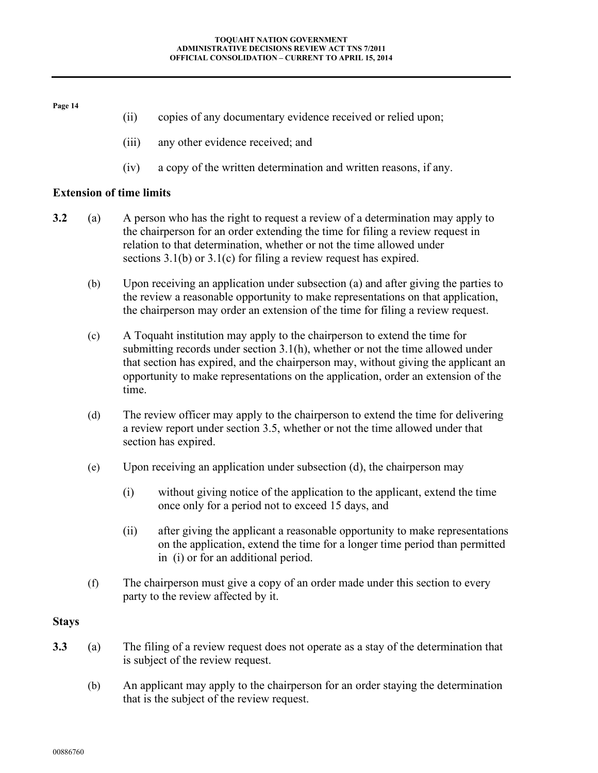<span id="page-13-5"></span><span id="page-13-4"></span><span id="page-13-3"></span><span id="page-13-2"></span><span id="page-13-1"></span><span id="page-13-0"></span>

|                                 |     | copies of any documentary evidence received or relied upon;<br>(ii)                                                                                                                                                                                                                                                                                |  |  |  |
|---------------------------------|-----|----------------------------------------------------------------------------------------------------------------------------------------------------------------------------------------------------------------------------------------------------------------------------------------------------------------------------------------------------|--|--|--|
|                                 |     | any other evidence received; and<br>(iii)                                                                                                                                                                                                                                                                                                          |  |  |  |
|                                 |     | a copy of the written determination and written reasons, if any.<br>(iv)                                                                                                                                                                                                                                                                           |  |  |  |
| <b>Extension of time limits</b> |     |                                                                                                                                                                                                                                                                                                                                                    |  |  |  |
| 3.2                             | (a) | A person who has the right to request a review of a determination may apply to<br>the chairperson for an order extending the time for filing a review request in<br>relation to that determination, whether or not the time allowed under<br>sections $3.1(b)$ or $3.1(c)$ for filing a review request has expired.                                |  |  |  |
|                                 | (b) | Upon receiving an application under subsection (a) and after giving the parties to<br>the review a reasonable opportunity to make representations on that application,<br>the chairperson may order an extension of the time for filing a review request.                                                                                          |  |  |  |
|                                 | (c) | A Toquaht institution may apply to the chairperson to extend the time for<br>submitting records under section $3.1(h)$ , whether or not the time allowed under<br>that section has expired, and the chairperson may, without giving the applicant an<br>opportunity to make representations on the application, order an extension of the<br>time. |  |  |  |
|                                 | (d) | The review officer may apply to the chairperson to extend the time for delivering<br>a review report under section 3.5, whether or not the time allowed under that<br>section has expired.                                                                                                                                                         |  |  |  |
|                                 | (e) | Upon receiving an application under subsection (d), the chairperson may                                                                                                                                                                                                                                                                            |  |  |  |
|                                 |     | (i)<br>without giving notice of the application to the applicant, extend the time<br>once only for a period not to exceed 15 days, and                                                                                                                                                                                                             |  |  |  |
|                                 |     | after giving the applicant a reasonable opportunity to make representations<br>(ii)<br>on the application, extend the time for a longer time period than permitted<br>in (i) or for an additional period.                                                                                                                                          |  |  |  |
|                                 | (f) | The chairperson must give a copy of an order made under this section to every<br>party to the review affected by it.                                                                                                                                                                                                                               |  |  |  |
| <b>Stays</b>                    |     |                                                                                                                                                                                                                                                                                                                                                    |  |  |  |
| 3.3                             | (a) | The filing of a review request does not operate as a stay of the determination that<br>is subject of the review request.                                                                                                                                                                                                                           |  |  |  |
|                                 | (b) | An applicant may apply to the chairperson for an order staying the determination<br>that is the subject of the review request.                                                                                                                                                                                                                     |  |  |  |
|                                 |     |                                                                                                                                                                                                                                                                                                                                                    |  |  |  |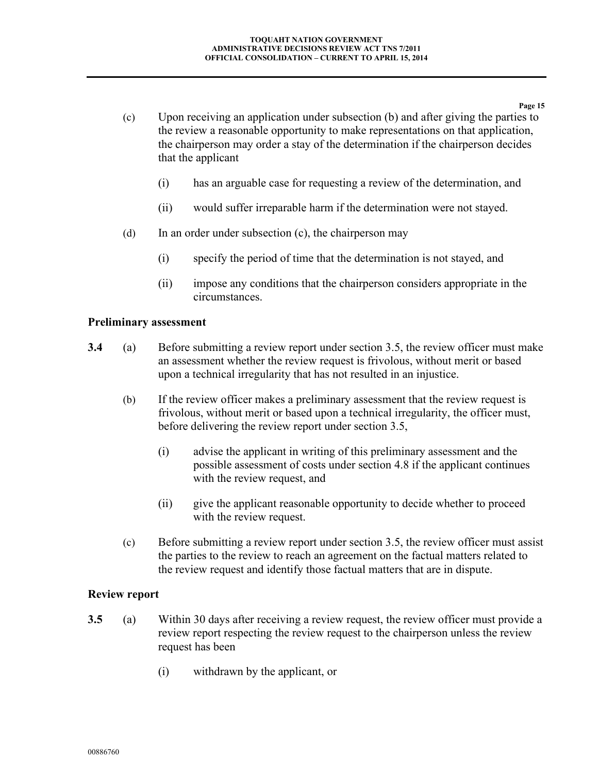- <span id="page-14-5"></span>(c) Upon receiving an application under subsection [\(b\)](#page-13-5) and after giving the parties to the review a reasonable opportunity to make representations on that application, the chairperson may order a stay of the determination if the chairperson decides that the applicant
	- (i) has an arguable case for requesting a review of the determination, and
	- (ii) would suffer irreparable harm if the determination were not stayed.
- (d) In an order under subsection [\(c\),](#page-14-5) the chairperson may
	- (i) specify the period of time that the determination is not stayed, and
	- (ii) impose any conditions that the chairperson considers appropriate in the circumstances.

#### <span id="page-14-0"></span>**Preliminary assessment**

- <span id="page-14-2"></span>**3.4** (a) Before submitting a review report under section [3.5,](#page-14-4) the review officer must make an assessment whether the review request is frivolous, without merit or based upon a technical irregularity that has not resulted in an injustice.
	- (b) If the review officer makes a preliminary assessment that the review request is frivolous, without merit or based upon a technical irregularity, the officer must, before delivering the review report under section [3.5,](#page-14-4)
		- (i) advise the applicant in writing of this preliminary assessment and the possible assessment of costs under section [4.8](#page-22-1) if the applicant continues with the review request, and
		- (ii) give the applicant reasonable opportunity to decide whether to proceed with the review request.
	- (c) Before submitting a review report under section [3.5,](#page-14-4) the review officer must assist the parties to the review to reach an agreement on the factual matters related to the review request and identify those factual matters that are in dispute.

#### <span id="page-14-3"></span><span id="page-14-1"></span>**Review report**

- <span id="page-14-6"></span><span id="page-14-4"></span>**3.5** (a) Within 30 days after receiving a review request, the review officer must provide a review report respecting the review request to the chairperson unless the review request has been
	- (i) withdrawn by the applicant, or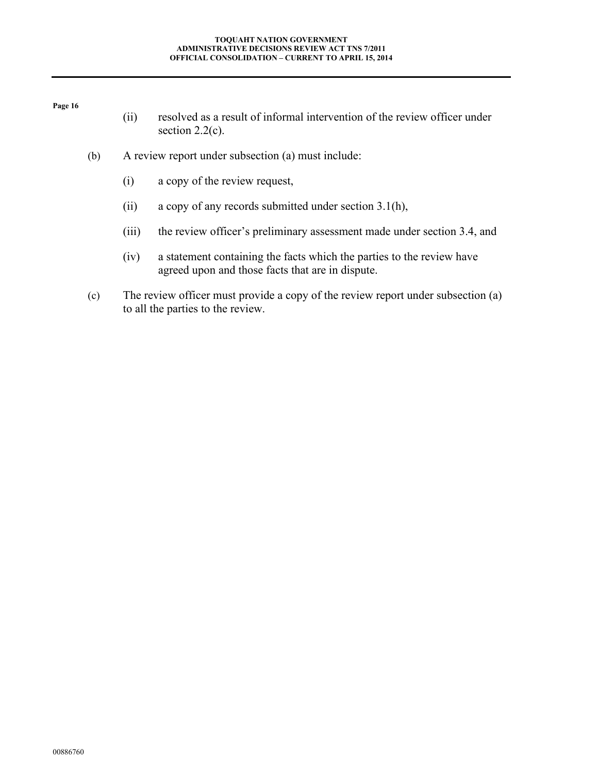- (ii) resolved as a result of informal intervention of the review officer under section  $2.2(c)$ .
- (b) A review report under subsection [\(a\)](#page-14-6) must include:
	- (i) a copy of the review request,
	- (ii) a copy of any records submitted under section [3.1\(h\),](#page-12-2)
	- (iii) the review officer's preliminary assessment made under section [3.4,](#page-14-2) and
	- (iv) a statement containing the facts which the parties to the review have agreed upon and those facts that are in dispute.
- (c) The review officer must provide a copy of the review report under subsection [\(a\)](#page-14-6) to all the parties to the review.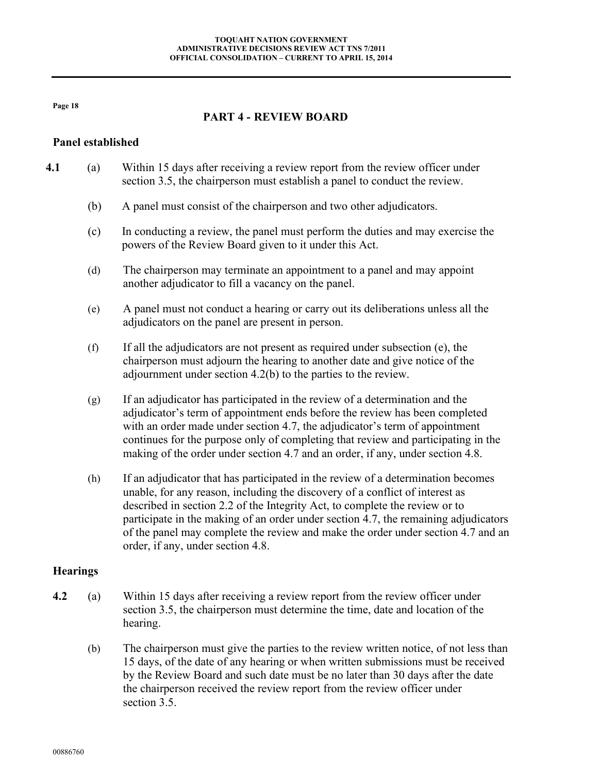## **PART 4 - REVIEW BOARD**

#### <span id="page-17-1"></span><span id="page-17-0"></span>**Panel established**

- <span id="page-17-4"></span><span id="page-17-3"></span>**4.1** (a) Within 15 days after receiving a review report from the review officer under section 3.5, the chairperson must establish a panel to conduct the review.
	- (b) A panel must consist of the chairperson and two other adjudicators.
	- (c) In conducting a review, the panel must perform the duties and may exercise the powers of the Review Board given to it under this Act.
	- (d) The chairperson may terminate an appointment to a panel and may appoint another adjudicator to fill a vacancy on the panel.
	- (e) A panel must not conduct a hearing or carry out its deliberations unless all the adjudicators on the panel are present in person.
	- (f) If all the adjudicators are not present as required under subsection [\(e\),](#page-17-4) the chairperson must adjourn the hearing to another date and give notice of the adjournment under section [4.2\(b\)](#page-17-5) to the parties to the review.
	- (g) If an adjudicator has participated in the review of a determination and the adjudicator's term of appointment ends before the review has been completed with an order made under section [4.7,](#page-20-1) the adjudicator's term of appointment continues for the purpose only of completing that review and participating in the making of the order under section [4.7](#page-20-1) and an order, if any, under section [4.8.](#page-22-1)
	- (h) If an adjudicator that has participated in the review of a determination becomes unable, for any reason, including the discovery of a conflict of interest as described in section 2.2 of the Integrity Act, to complete the review or to participate in the making of an order under section [4.7,](#page-20-1) the remaining adjudicators of the panel may complete the review and make the order under section [4.7](#page-20-1) and an order, if any, under section [4.8.](#page-22-1)

#### <span id="page-17-2"></span>**Hearings**

- <span id="page-17-5"></span>**4.2** (a) Within 15 days after receiving a review report from the review officer under section [3.5,](#page-14-4) the chairperson must determine the time, date and location of the hearing.
	- (b) The chairperson must give the parties to the review written notice, of not less than 15 days, of the date of any hearing or when written submissions must be received by the Review Board and such date must be no later than 30 days after the date the chairperson received the review report from the review officer under section [3.5.](#page-14-4)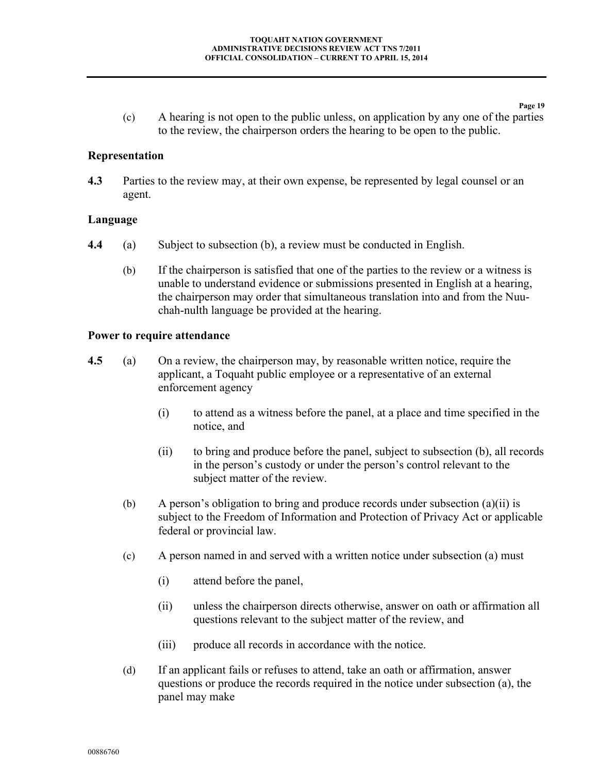(c) A hearing is not open to the public unless, on application by any one of the parties to the review, the chairperson orders the hearing to be open to the public.

**Page 19**

#### <span id="page-18-0"></span>**Representation**

**4.3** Parties to the review may, at their own expense, be represented by legal counsel or an agent.

#### <span id="page-18-1"></span>**Language**

- <span id="page-18-3"></span>**4.4** (a) Subject to subsection [\(b\),](#page-18-3) a review must be conducted in English.
	- (b) If the chairperson is satisfied that one of the parties to the review or a witness is unable to understand evidence or submissions presented in English at a hearing, the chairperson may order that simultaneous translation into and from the Nuuchah-nulth language be provided at the hearing.

#### <span id="page-18-2"></span>**Power to require attendance**

- <span id="page-18-4"></span>**4.5** (a) On a review, the chairperson may, by reasonable written notice, require the applicant, a Toquaht public employee or a representative of an external enforcement agency
	- (i) to attend as a witness before the panel, at a place and time specified in the notice, and
	- (ii) to bring and produce before the panel, subject to subsection (b), all records in the person's custody or under the person's control relevant to the subject matter of the review.
	- (b) A person's obligation to bring and produce records under subsection (a)(ii) is subject to the Freedom of Information and Protection of Privacy Act or applicable federal or provincial law.
	- (c) A person named in and served with a written notice under subsection [\(a\)](#page-18-4) must
		- (i) attend before the panel,
		- (ii) unless the chairperson directs otherwise, answer on oath or affirmation all questions relevant to the subject matter of the review, and
		- (iii) produce all records in accordance with the notice.
	- (d) If an applicant fails or refuses to attend, take an oath or affirmation, answer questions or produce the records required in the notice under subsection [\(a\),](#page-18-4) the panel may make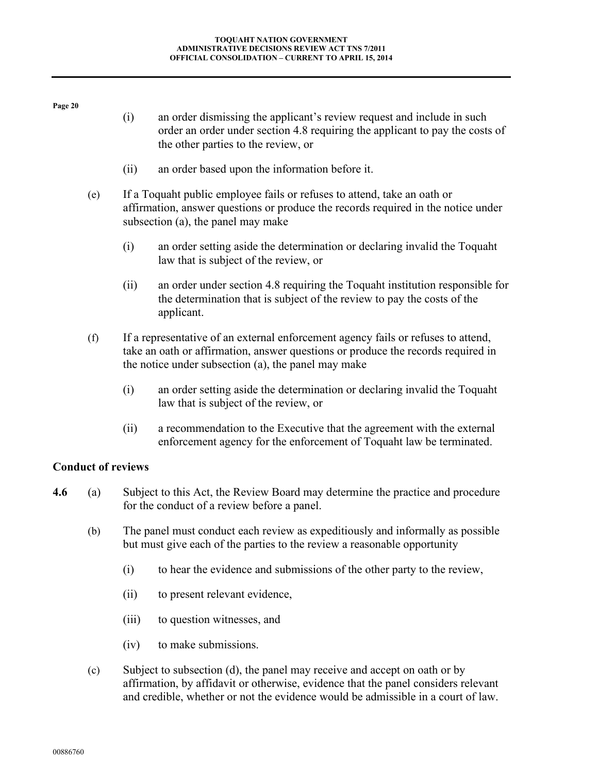- (i) an order dismissing the applicant's review request and include in such order an order under section [4.8](#page-22-1) requiring the applicant to pay the costs of the other parties to the review, or
- (ii) an order based upon the information before it.
- (e) If a Toquaht public employee fails or refuses to attend, take an oath or affirmation, answer questions or produce the records required in the notice under subsection [\(a\),](#page-18-4) the panel may make
	- (i) an order setting aside the determination or declaring invalid the Toquaht law that is subject of the review, or
	- (ii) an order under section [4.8](#page-22-1) requiring the Toquaht institution responsible for the determination that is subject of the review to pay the costs of the applicant.
- <span id="page-19-0"></span>(f) If a representative of an external enforcement agency fails or refuses to attend, take an oath or affirmation, answer questions or produce the records required in the notice under subsection (a), the panel may make
	- (i) an order setting aside the determination or declaring invalid the Toquaht law that is subject of the review, or
	- (ii) a recommendation to the Executive that the agreement with the external enforcement agency for the enforcement of Toquaht law be terminated.

#### **Conduct of reviews**

- **4.6** (a) Subject to this Act, the Review Board may determine the practice and procedure for the conduct of a review before a panel.
	- (b) The panel must conduct each review as expeditiously and informally as possible but must give each of the parties to the review a reasonable opportunity
		- (i) to hear the evidence and submissions of the other party to the review,
		- (ii) to present relevant evidence,
		- (iii) to question witnesses, and
		- (iv) to make submissions.
	- (c) Subject to subsection [\(d\),](#page-20-2) the panel may receive and accept on oath or by affirmation, by affidavit or otherwise, evidence that the panel considers relevant and credible, whether or not the evidence would be admissible in a court of law.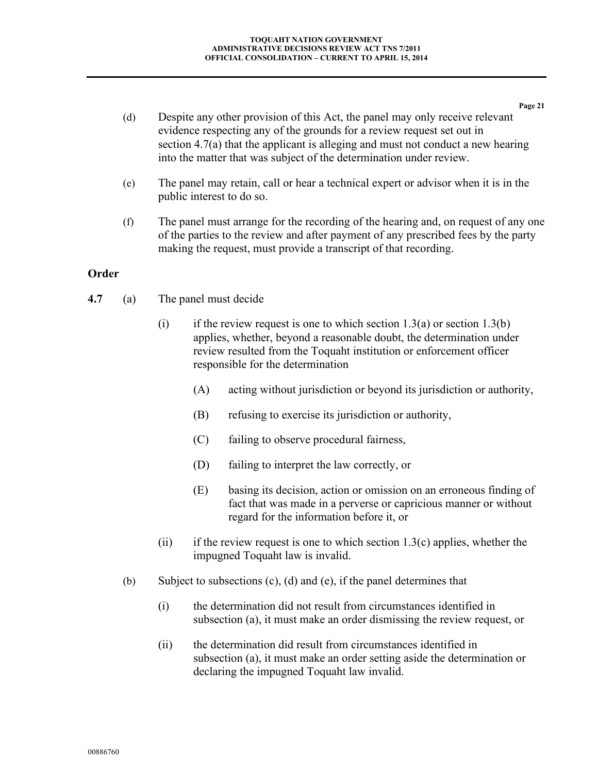<span id="page-20-2"></span>**Page 21** (d) Despite any other provision of this Act, the panel may only receive relevant evidence respecting any of the grounds for a review request set out in section [4.7\(a\)](#page-20-3) that the applicant is alleging and must not conduct a new hearing into the matter that was subject of the determination under review.

- (e) The panel may retain, call or hear a technical expert or advisor when it is in the public interest to do so.
- (f) The panel must arrange for the recording of the hearing and, on request of any one of the parties to the review and after payment of any prescribed fees by the party making the request, must provide a transcript of that recording.

#### <span id="page-20-0"></span>**Order**

- <span id="page-20-4"></span><span id="page-20-3"></span><span id="page-20-1"></span>**4.7** (a) The panel must decide
	- (i) if the review request is one to which section [1.3\(a\)](#page-7-5) or section [1.3\(b\)](#page-7-6) applies, whether, beyond a reasonable doubt, the determination under review resulted from the Toquaht institution or enforcement officer responsible for the determination
		- (A) acting without jurisdiction or beyond its jurisdiction or authority,
		- (B) refusing to exercise its jurisdiction or authority,
		- (C) failing to observe procedural fairness,
		- (D) failing to interpret the law correctly, or
		- (E) basing its decision, action or omission on an erroneous finding of fact that was made in a perverse or capricious manner or without regard for the information before it, or
	- (ii) if the review request is one to which section  $1.3(c)$  applies, whether the impugned Toquaht law is invalid.
	- (b) Subject to subsections [\(c\),](#page-21-0) [\(d\)](#page-21-1) and [\(e\),](#page-21-2) if the panel determines that
		- (i) the determination did not result from circumstances identified in subsection [\(a\),](#page-20-3) it must make an order dismissing the review request, or
		- (ii) the determination did result from circumstances identified in subsection [\(a\),](#page-20-3) it must make an order setting aside the determination or declaring the impugned Toquaht law invalid.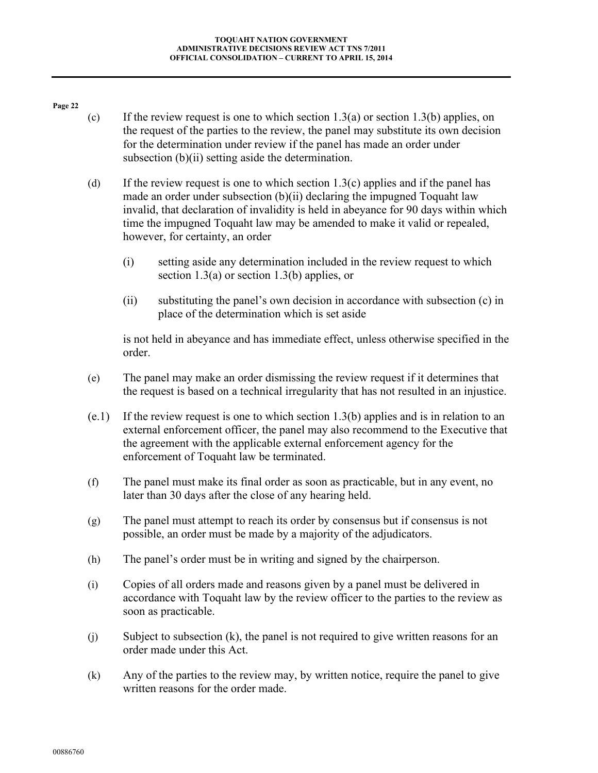- <span id="page-21-0"></span>(c) If the review request is one to which section  $1.3(a)$  or section  $1.3(b)$  applies, on the request of the parties to the review, the panel may substitute its own decision for the determination under review if the panel has made an order under subsection [\(b\)\(ii\)](#page-20-4) setting aside the determination.
- <span id="page-21-1"></span>(d) If the review request is one to which section [1.3\(c\)](#page-7-7) applies and if the panel has made an order under subsection [\(b\)\(ii\)](#page-20-4) declaring the impugned Toquaht law invalid, that declaration of invalidity is held in abeyance for 90 days within which time the impugned Toquaht law may be amended to make it valid or repealed, however, for certainty, an order
	- (i) setting aside any determination included in the review request to which section [1.3\(a\)](#page-7-5) or section [1.3\(b\)](#page-7-6) applies, or
	- (ii) substituting the panel's own decision in accordance with subsection [\(c\)](#page-21-0) in place of the determination which is set aside

is not held in abeyance and has immediate effect, unless otherwise specified in the order.

- <span id="page-21-2"></span>(e) The panel may make an order dismissing the review request if it determines that the request is based on a technical irregularity that has not resulted in an injustice.
- (e.1) If the review request is one to which section [1.3\(b\)](#page-7-6) applies and is in relation to an external enforcement officer, the panel may also recommend to the Executive that the agreement with the applicable external enforcement agency for the enforcement of Toquaht law be terminated.
- (f) The panel must make its final order as soon as practicable, but in any event, no later than 30 days after the close of any hearing held.
- (g) The panel must attempt to reach its order by consensus but if consensus is not possible, an order must be made by a majority of the adjudicators.
- (h) The panel's order must be in writing and signed by the chairperson.
- <span id="page-21-4"></span>(i) Copies of all orders made and reasons given by a panel must be delivered in accordance with Toquaht law by the review officer to the parties to the review as soon as practicable.
- (j) Subject to subsection [\(k\),](#page-21-3) the panel is not required to give written reasons for an order made under this Act.
- <span id="page-21-3"></span>(k) Any of the parties to the review may, by written notice, require the panel to give written reasons for the order made.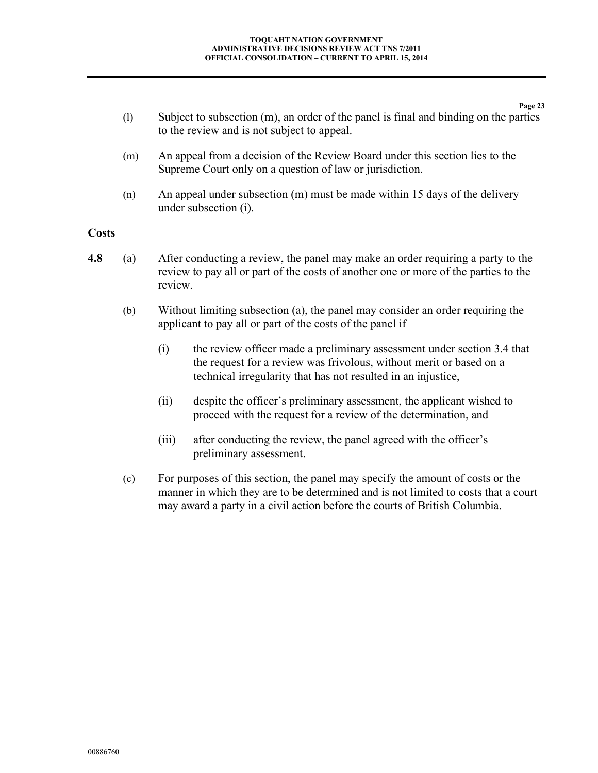**Page 23** (l) Subject to subsection [\(m\),](#page-22-2) an order of the panel is final and binding on the parties to the review and is not subject to appeal.

- <span id="page-22-2"></span>(m) An appeal from a decision of the Review Board under this section lies to the Supreme Court only on a question of law or jurisdiction.
- (n) An appeal under subsection [\(m\)](#page-22-2) must be made within 15 days of the delivery under subsection [\(i\).](#page-21-4)

#### <span id="page-22-0"></span>**Costs**

- <span id="page-22-3"></span><span id="page-22-1"></span>**4.8** (a) After conducting a review, the panel may make an order requiring a party to the review to pay all or part of the costs of another one or more of the parties to the review.
	- (b) Without limiting subsection [\(a\),](#page-22-3) the panel may consider an order requiring the applicant to pay all or part of the costs of the panel if
		- (i) the review officer made a preliminary assessment under section [3.4](#page-14-2) that the request for a review was frivolous, without merit or based on a technical irregularity that has not resulted in an injustice,
		- (ii) despite the officer's preliminary assessment, the applicant wished to proceed with the request for a review of the determination, and
		- (iii) after conducting the review, the panel agreed with the officer's preliminary assessment.
	- (c) For purposes of this section, the panel may specify the amount of costs or the manner in which they are to be determined and is not limited to costs that a court may award a party in a civil action before the courts of British Columbia.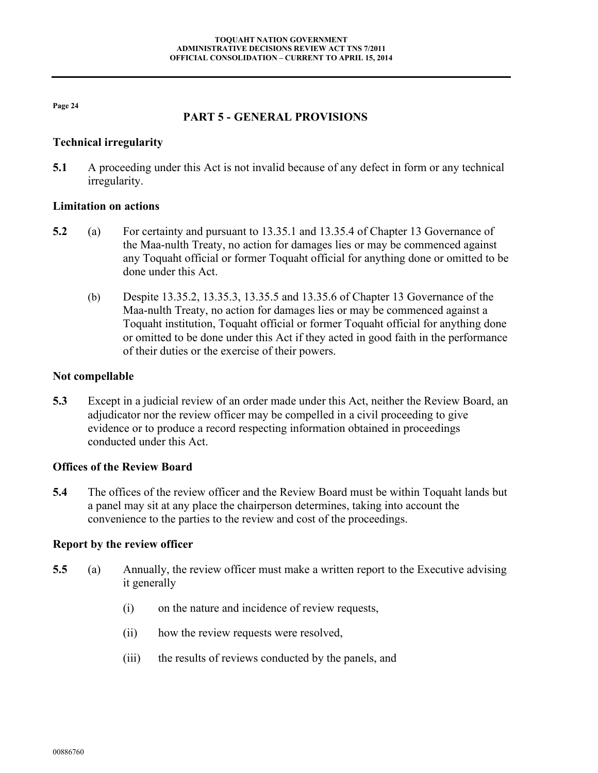#### **PART 5 - GENERAL PROVISIONS**

#### <span id="page-23-1"></span><span id="page-23-0"></span>**Technical irregularity**

**5.1** A proceeding under this Act is not invalid because of any defect in form or any technical irregularity.

#### <span id="page-23-2"></span>**Limitation on actions**

- **5.2** (a) For certainty and pursuant to 13.35.1 and 13.35.4 of Chapter 13 Governance of the Maa-nulth Treaty, no action for damages lies or may be commenced against any Toquaht official or former Toquaht official for anything done or omitted to be done under this Act.
	- (b) Despite 13.35.2, 13.35.3, 13.35.5 and 13.35.6 of Chapter 13 Governance of the Maa-nulth Treaty, no action for damages lies or may be commenced against a Toquaht institution, Toquaht official or former Toquaht official for anything done or omitted to be done under this Act if they acted in good faith in the performance of their duties or the exercise of their powers.

## <span id="page-23-3"></span>**Not compellable**

**5.3** Except in a judicial review of an order made under this Act, neither the Review Board, an adjudicator nor the review officer may be compelled in a civil proceeding to give evidence or to produce a record respecting information obtained in proceedings conducted under this Act.

#### <span id="page-23-4"></span>**Offices of the Review Board**

**5.4** The offices of the review officer and the Review Board must be within Toquaht lands but a panel may sit at any place the chairperson determines, taking into account the convenience to the parties to the review and cost of the proceedings.

#### <span id="page-23-5"></span>**Report by the review officer**

- <span id="page-23-7"></span><span id="page-23-6"></span>**5.5** (a) Annually, the review officer must make a written report to the Executive advising it generally
	- (i) on the nature and incidence of review requests,
	- (ii) how the review requests were resolved,
	- (iii) the results of reviews conducted by the panels, and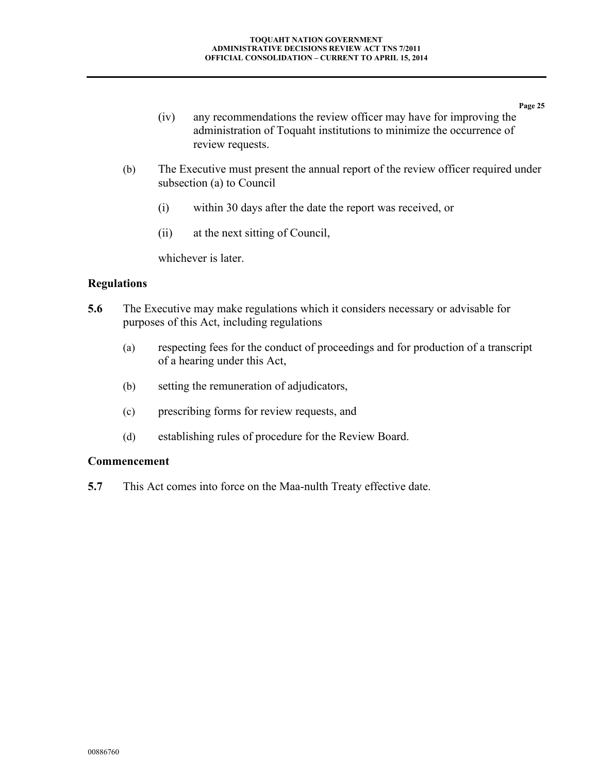- **Page 25** (iv) any recommendations the review officer may have for improving the administration of Toquaht institutions to minimize the occurrence of review requests.
- (b) The Executive must present the annual report of the review officer required under subsection [\(a\)](#page-23-7) to Council
	- (i) within 30 days after the date the report was received, or
	- (ii) at the next sitting of Council,

whichever is later.

#### <span id="page-24-0"></span>**Regulations**

- **5.6** The Executive may make regulations which it considers necessary or advisable for purposes of this Act, including regulations
	- (a) respecting fees for the conduct of proceedings and for production of a transcript of a hearing under this Act,
	- (b) setting the remuneration of adjudicators,
	- (c) prescribing forms for review requests, and
	- (d) establishing rules of procedure for the Review Board.

#### <span id="page-24-1"></span>**Commencement**

**5.7** This Act comes into force on the Maa-nulth Treaty effective date.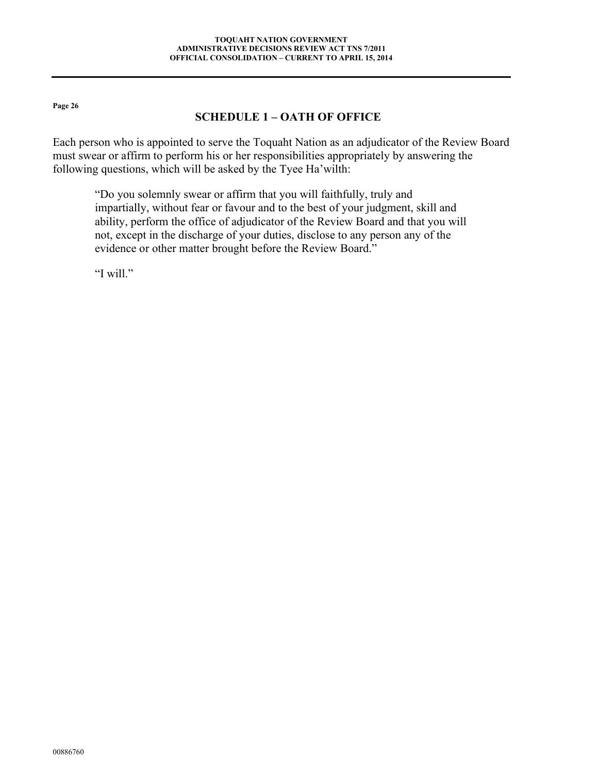## **SCHEDULE 1 – OATH OF OFFICE**

<span id="page-25-0"></span>Each person who is appointed to serve the Toquaht Nation as an adjudicator of the Review Board must swear or affirm to perform his or her responsibilities appropriately by answering the following questions, which will be asked by the Tyee Ha'wilth:

"Do you solemnly swear or affirm that you will faithfully, truly and impartially, without fear or favour and to the best of your judgment, skill and ability, perform the office of adjudicator of the Review Board and that you will not, except in the discharge of your duties, disclose to any person any of the evidence or other matter brought before the Review Board."

"I will."